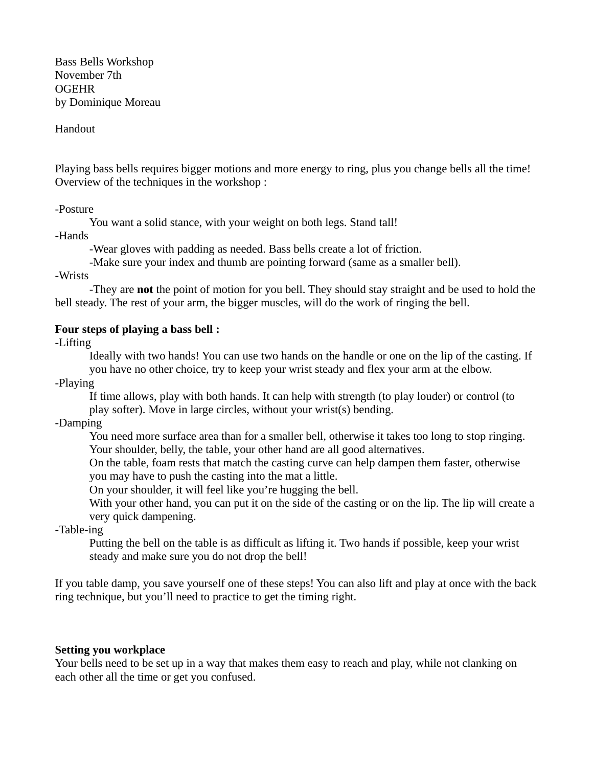Bass Bells Workshop November 7th OGEHR by Dominique Moreau

Handout

Playing bass bells requires bigger motions and more energy to ring, plus you change bells all the time! Overview of the techniques in the workshop :

-Posture

You want a solid stance, with your weight on both legs. Stand tall!

-Hands

-Wear gloves with padding as needed. Bass bells create a lot of friction.

-Make sure your index and thumb are pointing forward (same as a smaller bell).

-Wrists

-They are **not** the point of motion for you bell. They should stay straight and be used to hold the bell steady. The rest of your arm, the bigger muscles, will do the work of ringing the bell.

## **Four steps of playing a bass bell :**

-Lifting

Ideally with two hands! You can use two hands on the handle or one on the lip of the casting. If you have no other choice, try to keep your wrist steady and flex your arm at the elbow.

-Playing

If time allows, play with both hands. It can help with strength (to play louder) or control (to play softer). Move in large circles, without your wrist(s) bending.

-Damping

You need more surface area than for a smaller bell, otherwise it takes too long to stop ringing. Your shoulder, belly, the table, your other hand are all good alternatives.

On the table, foam rests that match the casting curve can help dampen them faster, otherwise you may have to push the casting into the mat a little.

On your shoulder, it will feel like you're hugging the bell.

With your other hand, you can put it on the side of the casting or on the lip. The lip will create a very quick dampening.

-Table-ing

Putting the bell on the table is as difficult as lifting it. Two hands if possible, keep your wrist steady and make sure you do not drop the bell!

If you table damp, you save yourself one of these steps! You can also lift and play at once with the back ring technique, but you'll need to practice to get the timing right.

## **Setting you workplace**

Your bells need to be set up in a way that makes them easy to reach and play, while not clanking on each other all the time or get you confused.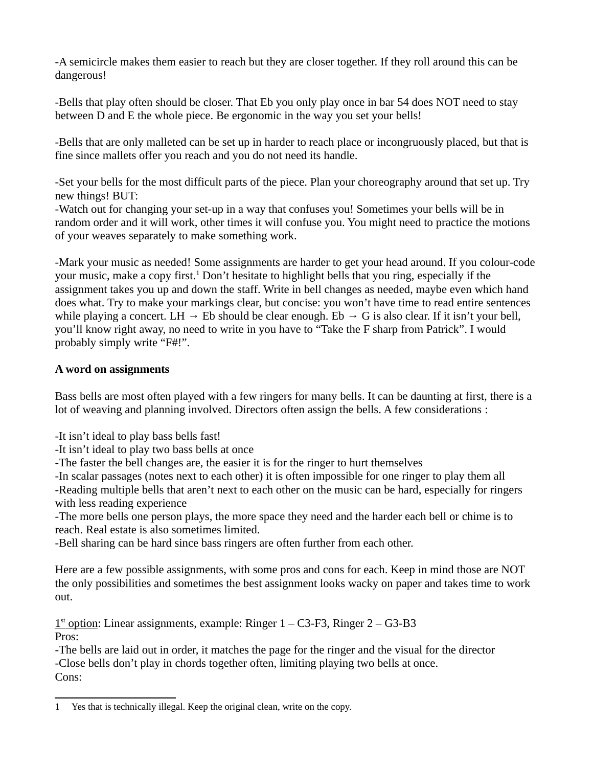-A semicircle makes them easier to reach but they are closer together. If they roll around this can be dangerous!

-Bells that play often should be closer. That Eb you only play once in bar 54 does NOT need to stay between D and E the whole piece. Be ergonomic in the way you set your bells!

-Bells that are only malleted can be set up in harder to reach place or incongruously placed, but that is fine since mallets offer you reach and you do not need its handle.

-Set your bells for the most difficult parts of the piece. Plan your choreography around that set up. Try new things! BUT:

-Watch out for changing your set-up in a way that confuses you! Sometimes your bells will be in random order and it will work, other times it will confuse you. You might need to practice the motions of your weaves separately to make something work.

-Mark your music as needed! Some assignments are harder to get your head around. If you colour-code your music, make a copy first.<sup>[1](#page-1-0)</sup> Don't hesitate to highlight bells that you ring, especially if the assignment takes you up and down the staff. Write in bell changes as needed, maybe even which hand does what. Try to make your markings clear, but concise: you won't have time to read entire sentences while playing a concert. LH  $\rightarrow$  Eb should be clear enough. Eb  $\rightarrow$  G is also clear. If it isn't your bell, you'll know right away, no need to write in you have to "Take the F sharp from Patrick". I would probably simply write "F#!".

## **A word on assignments**

Bass bells are most often played with a few ringers for many bells. It can be daunting at first, there is a lot of weaving and planning involved. Directors often assign the bells. A few considerations :

-It isn't ideal to play bass bells fast!

-It isn't ideal to play two bass bells at once

-The faster the bell changes are, the easier it is for the ringer to hurt themselves

-In scalar passages (notes next to each other) it is often impossible for one ringer to play them all

-Reading multiple bells that aren't next to each other on the music can be hard, especially for ringers with less reading experience

-The more bells one person plays, the more space they need and the harder each bell or chime is to reach. Real estate is also sometimes limited.

-Bell sharing can be hard since bass ringers are often further from each other.

Here are a few possible assignments, with some pros and cons for each. Keep in mind those are NOT the only possibilities and sometimes the best assignment looks wacky on paper and takes time to work out.

 $1<sup>st</sup>$  option: Linear assignments, example: Ringer  $1 - C3$ -F3, Ringer  $2 - G3$ -B3 Pros:

-The bells are laid out in order, it matches the page for the ringer and the visual for the director -Close bells don't play in chords together often, limiting playing two bells at once. Cons:

<span id="page-1-0"></span><sup>1</sup> Yes that is technically illegal. Keep the original clean, write on the copy.